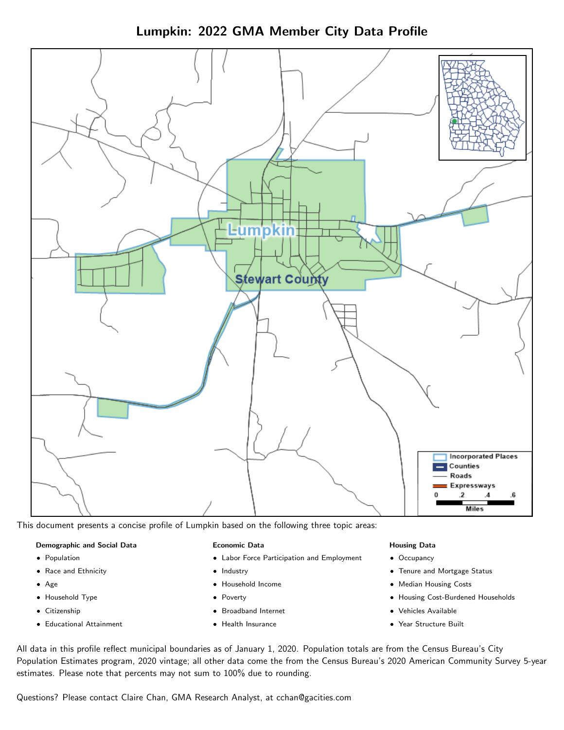Lumpkin: 2022 GMA Member City Data Profile



This document presents a concise profile of Lumpkin based on the following three topic areas:

#### Demographic and Social Data

- **•** Population
- Race and Ethnicity
- Age
- Household Type
- **Citizenship**
- Educational Attainment

#### Economic Data

- Labor Force Participation and Employment
- Industry
- Household Income
- Poverty
- Broadband Internet
- Health Insurance

#### Housing Data

- Occupancy
- Tenure and Mortgage Status
- Median Housing Costs
- Housing Cost-Burdened Households
- Vehicles Available
- Year Structure Built

All data in this profile reflect municipal boundaries as of January 1, 2020. Population totals are from the Census Bureau's City Population Estimates program, 2020 vintage; all other data come the from the Census Bureau's 2020 American Community Survey 5-year estimates. Please note that percents may not sum to 100% due to rounding.

Questions? Please contact Claire Chan, GMA Research Analyst, at [cchan@gacities.com.](mailto:cchan@gacities.com)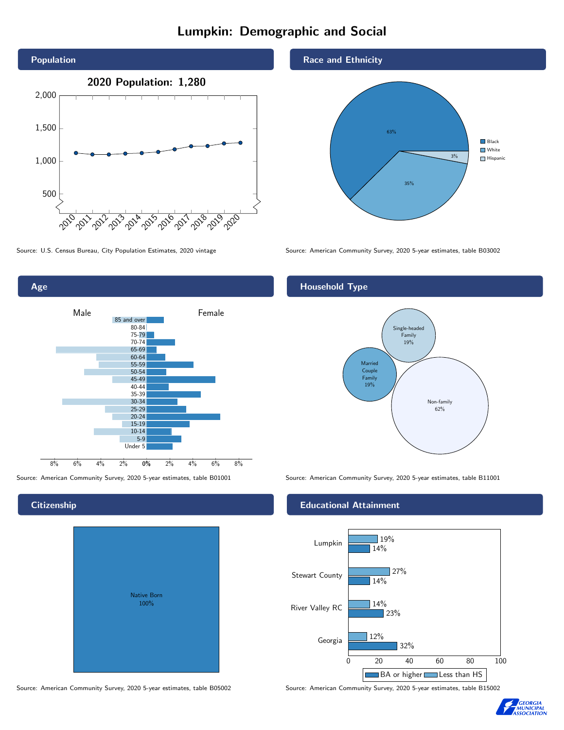# Lumpkin: Demographic and Social



Age 0% 2% 4% 6% 8% Male **Female** 8% 6% 4% 2% 85 and over 80-84 75-79 70-74 65-69 60-64 55-59 50-54 45-49 40-44 35-39 30-34 25-29 20-24 15-19  $10-14$ 5-9 Under 5

Native Born 100%

Source: American Community Survey, 2020 5-year estimates, table B05002 Source: American Community Survey, 2020 5-year estimates, table B15002





Source: U.S. Census Bureau, City Population Estimates, 2020 vintage Source: American Community Survey, 2020 5-year estimates, table B03002

## Household Type



Source: American Community Survey, 2020 5-year estimates, table B01001 Source: American Community Survey, 2020 5-year estimates, table B11001

### Educational Attainment





#### **Citizenship**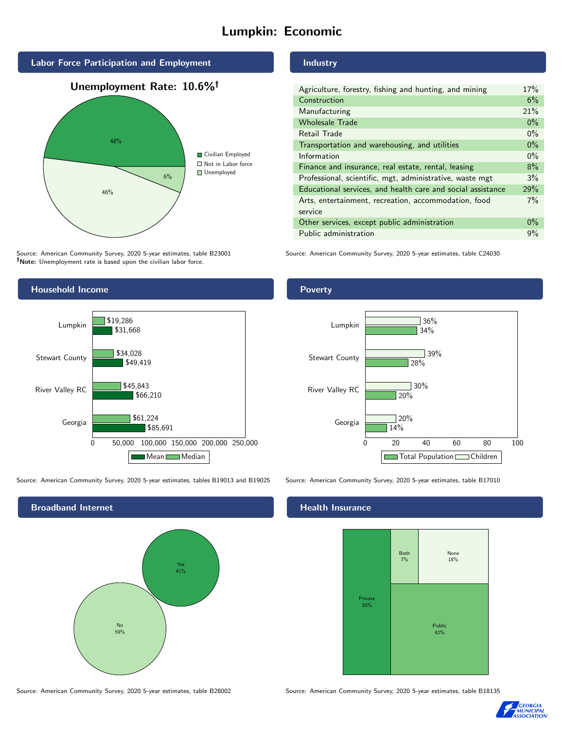# Lumpkin: Economic



Source: American Community Survey, 2020 5-year estimates, table B23001 Note: Unemployment rate is based upon the civilian labor force.



Source: American Community Survey, 2020 5-year estimates, tables B19013 and B19025 Source: American Community Survey, 2020 5-year estimates, table B17010



Source: American Community Survey, 2020 5-year estimates, table B28002 Source: American Community Survey, 2020 5-year estimates, table B18135

Industry

| Agriculture, forestry, fishing and hunting, and mining      | 17%   |
|-------------------------------------------------------------|-------|
| Construction                                                | 6%    |
| Manufacturing                                               | 21%   |
| <b>Wholesale Trade</b>                                      | $0\%$ |
| Retail Trade                                                | $0\%$ |
| Transportation and warehousing, and utilities               | $0\%$ |
| Information                                                 | $0\%$ |
| Finance and insurance, real estate, rental, leasing         | 8%    |
| Professional, scientific, mgt, administrative, waste mgt    | 3%    |
| Educational services, and health care and social assistance | 29%   |
| Arts, entertainment, recreation, accommodation, food        | 7%    |
| service                                                     |       |
| Other services, except public administration                | $0\%$ |
| Public administration                                       | 9%    |

Source: American Community Survey, 2020 5-year estimates, table C24030

#### Poverty



#### Health Insurance